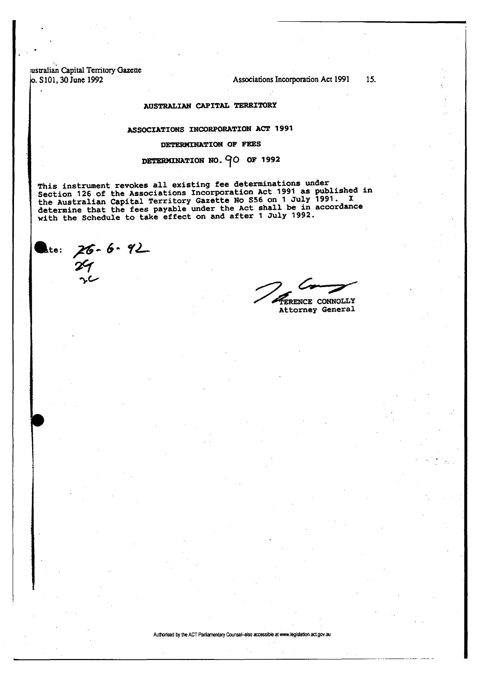**lustralian Capital Territory Gazette** 

## **o. S101,30 June 1992 Associations Incorporation Act 1991 15.**

# **AUSTRALIAN CAPITAL TERRITORY**

## **ASSOCIATIONS INCORPORATION ACT 1991**

### **DETERMINATION OF FEES**

# **DETERMINATION NO.**  $90$  **OF 1992**

**This instrument revokes all existing fee determinations under Section 126 of the Associations Incorporation Act 1991 as published in the Australian Capital Territory Gazette No S56 on 1 July 1991. I determine that the fees payable under the Act shall be in accordance with the Schedule to take effect on and after 1 July 1992.** 

**ke:**  $26 - 6 - 92$ <br>29

**r** 

**ERENCE CONNOLLY Attorney General** 

**Authorised by the ACT Parliamentary Counsel-also accessible at www.legislation.actgov.au**